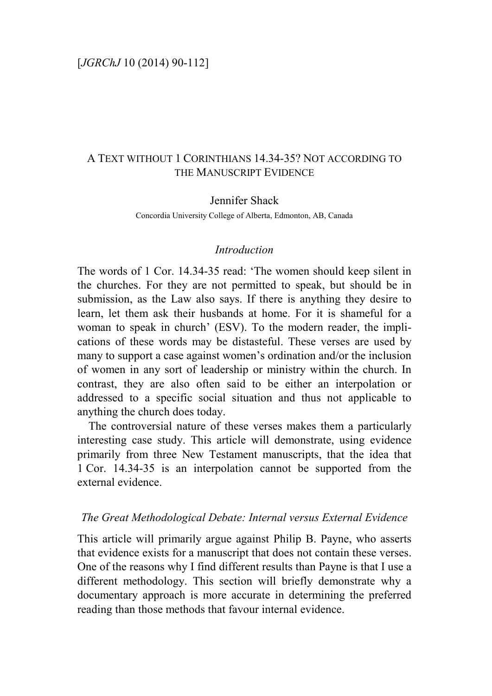# A TEXT WITHOUT 1 CORINTHIANS 14.34-35? NOT ACCORDING TO THE MANUSCRIPT EVIDENCE

### Jennifer Shack

Concordia University College of Alberta, Edmonton, AB, Canada

### *Introduction*

The words of 1 Cor. 14.34-35 read: 'The women should keep silent in the churches. For they are not permitted to speak, but should be in submission, as the Law also says. If there is anything they desire to learn, let them ask their husbands at home. For it is shameful for a woman to speak in church' (ESV). To the modern reader, the implications of these words may be distasteful. These verses are used by many to support a case against women's ordination and/or the inclusion of women in any sort of leadership or ministry within the church. In contrast, they are also often said to be either an interpolation or addressed to a specific social situation and thus not applicable to anything the church does today.

The controversial nature of these verses makes them a particularly interesting case study. This article will demonstrate, using evidence primarily from three New Testament manuscripts, that the idea that 1 Cor. 14.34-35 is an interpolation cannot be supported from the external evidence.

### *The Great Methodological Debate: Internal versus External Evidence*

This article will primarily argue against Philip B. Payne, who asserts that evidence exists for a manuscript that does not contain these verses. One of the reasons why I find different results than Payne is that I use a different methodology. This section will briefly demonstrate why a documentary approach is more accurate in determining the preferred reading than those methods that favour internal evidence.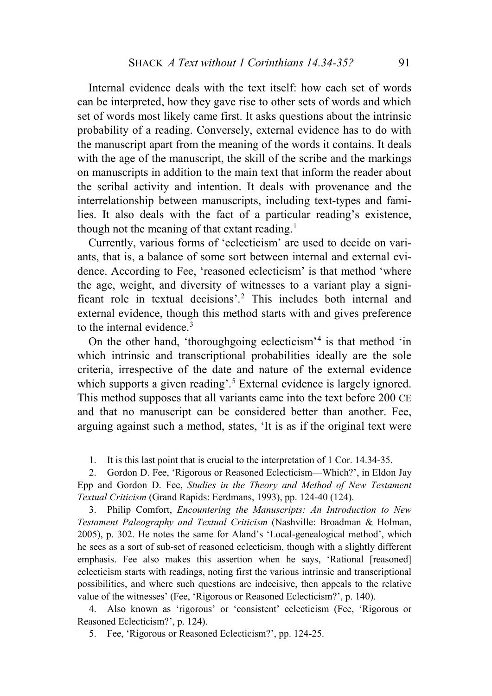Internal evidence deals with the text itself: how each set of words can be interpreted, how they gave rise to other sets of words and which set of words most likely came first. It asks questions about the intrinsic probability of a reading. Conversely, external evidence has to do with the manuscript apart from the meaning of the words it contains. It deals with the age of the manuscript, the skill of the scribe and the markings on manuscripts in addition to the main text that inform the reader about the scribal activity and intention. It deals with provenance and the interrelationship between manuscripts, including text-types and families. It also deals with the fact of a particular reading's existence, though not the meaning of that extant reading.<sup>[1](#page-1-0)</sup>

Currently, various forms of 'eclecticism' are used to decide on variants, that is, a balance of some sort between internal and external evidence. According to Fee, 'reasoned eclecticism' is that method 'where the age, weight, and diversity of witnesses to a variant play a significant role in textual decisions'.[2](#page-1-1) This includes both internal and external evidence, though this method starts with and gives preference to the internal evidence.<sup>[3](#page-1-2)</sup>

On the other hand, 'thoroughgoing eclecticism'[4](#page-1-3) is that method 'in which intrinsic and transcriptional probabilities ideally are the sole criteria, irrespective of the date and nature of the external evidence which supports a given reading'.<sup>[5](#page-1-4)</sup> External evidence is largely ignored. This method supposes that all variants came into the text before 200 CE and that no manuscript can be considered better than another. Fee, arguing against such a method, states, 'It is as if the original text were

1. It is this last point that is crucial to the interpretation of 1 Cor. 14.34-35.

<span id="page-1-1"></span><span id="page-1-0"></span>2. Gordon D. Fee, 'Rigorous or Reasoned Eclecticism—Which?', in Eldon Jay Epp and Gordon D. Fee, *Studies in the Theory and Method of New Testament Textual Criticism* (Grand Rapids: Eerdmans, 1993), pp. 124-40 (124).

<span id="page-1-2"></span>3. Philip Comfort, *Encountering the Manuscripts: An Introduction to New Testament Paleography and Textual Criticism* (Nashville: Broadman & Holman, 2005), p. 302. He notes the same for Aland's 'Local-genealogical method', which he sees as a sort of sub-set of reasoned eclecticism, though with a slightly different emphasis. Fee also makes this assertion when he says, 'Rational [reasoned] eclecticism starts with readings, noting first the various intrinsic and transcriptional possibilities, and where such questions are indecisive, then appeals to the relative value of the witnesses' (Fee, 'Rigorous or Reasoned Eclecticism?', p. 140).

<span id="page-1-4"></span><span id="page-1-3"></span>4. Also known as 'rigorous' or 'consistent' eclecticism (Fee, 'Rigorous or Reasoned Eclecticism?', p. 124).

5. Fee, 'Rigorous or Reasoned Eclecticism?', pp. 124-25.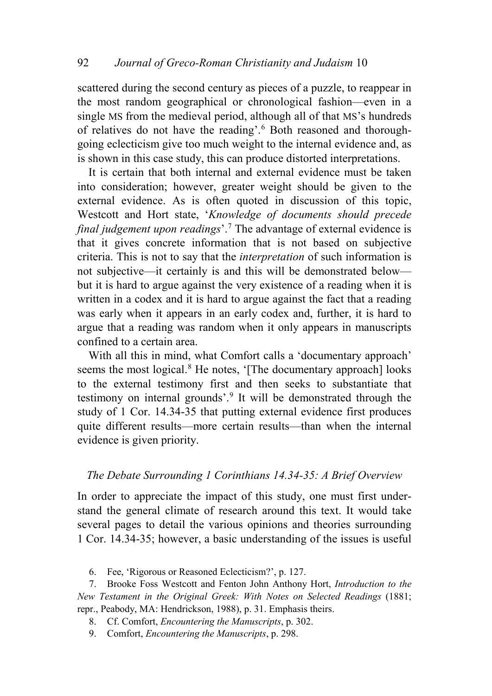scattered during the second century as pieces of a puzzle, to reappear in the most random geographical or chronological fashion—even in a single MS from the medieval period, although all of that MS's hundreds of relatives do not have the reading'.[6](#page-2-0) Both reasoned and thoroughgoing eclecticism give too much weight to the internal evidence and, as is shown in this case study, this can produce distorted interpretations.

It is certain that both internal and external evidence must be taken into consideration; however, greater weight should be given to the external evidence. As is often quoted in discussion of this topic, Westcott and Hort state, '*Knowledge of documents should precede final judgement upon readings*'.[7](#page-2-1) The advantage of external evidence is that it gives concrete information that is not based on subjective criteria. This is not to say that the *interpretation* of such information is not subjective—it certainly is and this will be demonstrated below but it is hard to argue against the very existence of a reading when it is written in a codex and it is hard to argue against the fact that a reading was early when it appears in an early codex and, further, it is hard to argue that a reading was random when it only appears in manuscripts confined to a certain area.

With all this in mind, what Comfort calls a 'documentary approach' seems the most logical.<sup>[8](#page-2-2)</sup> He notes, '[The documentary approach] looks to the external testimony first and then seeks to substantiate that testimony on internal grounds'.<sup>[9](#page-2-3)</sup> It will be demonstrated through the study of 1 Cor. 14.34-35 that putting external evidence first produces quite different results—more certain results—than when the internal evidence is given priority.

## *The Debate Surrounding 1 Corinthians 14.34-35: A Brief Overview*

In order to appreciate the impact of this study, one must first understand the general climate of research around this text. It would take several pages to detail the various opinions and theories surrounding 1 Cor. 14.34-35; however, a basic understanding of the issues is useful

6. Fee, 'Rigorous or Reasoned Eclecticism?', p. 127.

<span id="page-2-2"></span><span id="page-2-1"></span><span id="page-2-0"></span>7. Brooke Foss Westcott and Fenton John Anthony Hort, *Introduction to the New Testament in the Original Greek: With Notes on Selected Readings* (1881; repr., Peabody, MA: Hendrickson, 1988), p. 31. Emphasis theirs.

- 8. Cf. Comfort, *Encountering the Manuscripts*, p. 302.
- <span id="page-2-3"></span>9. Comfort, *Encountering the Manuscripts*, p. 298.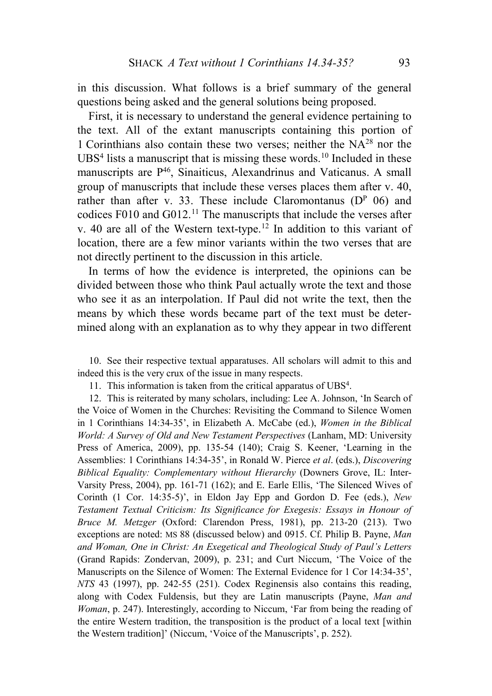in this discussion. What follows is a brief summary of the general questions being asked and the general solutions being proposed.

First, it is necessary to understand the general evidence pertaining to the text. All of the extant manuscripts containing this portion of 1 Corinthians also contain these two verses; neither the NA28 nor the UBS<sup>4</sup> lists a manuscript that is missing these words.<sup>[10](#page-3-0)</sup> Included in these manuscripts are P46, Sinaiticus, Alexandrinus and Vaticanus. A small group of manuscripts that include these verses places them after v. 40, rather than after v. 33. These include Claromontanus  $(D<sup>P</sup> 06)$  and codices F010 and  $G012$ .<sup>[11](#page-3-1)</sup> The manuscripts that include the verses after v. 40 are all of the Western text-type.<sup>[12](#page-3-2)</sup> In addition to this variant of location, there are a few minor variants within the two verses that are not directly pertinent to the discussion in this article.

In terms of how the evidence is interpreted, the opinions can be divided between those who think Paul actually wrote the text and those who see it as an interpolation. If Paul did not write the text, then the means by which these words became part of the text must be determined along with an explanation as to why they appear in two different

<span id="page-3-0"></span>10. See their respective textual apparatuses. All scholars will admit to this and indeed this is the very crux of the issue in many respects.

11. This information is taken from the critical apparatus of UBS4.

<span id="page-3-2"></span><span id="page-3-1"></span>12. This is reiterated by many scholars, including: Lee A. Johnson, 'In Search of the Voice of Women in the Churches: Revisiting the Command to Silence Women in 1 Corinthians 14:34-35', in Elizabeth A. McCabe (ed.), *Women in the Biblical World: A Survey of Old and New Testament Perspectives* (Lanham, MD: University Press of America, 2009), pp. 135-54 (140); Craig S. Keener, 'Learning in the Assemblies: 1 Corinthians 14:34-35', in Ronald W. Pierce *et al*. (eds.), *Discovering Biblical Equality: Complementary without Hierarchy* (Downers Grove, IL: Inter-Varsity Press, 2004), pp. 161-71 (162); and E. Earle Ellis, 'The Silenced Wives of Corinth (1 Cor. 14:35-5)', in Eldon Jay Epp and Gordon D. Fee (eds.), *New Testament Textual Criticism: Its Significance for Exegesis: Essays in Honour of Bruce M. Metzger* (Oxford: Clarendon Press, 1981), pp. 213-20 (213). Two exceptions are noted: MS 88 (discussed below) and 0915. Cf. Philip B. Payne, *Man and Woman, One in Christ: An Exegetical and Theological Study of Paul's Letters* (Grand Rapids: Zondervan, 2009), p. 231; and Curt Niccum, 'The Voice of the Manuscripts on the Silence of Women: The External Evidence for 1 Cor 14:34-35', *NTS* 43 (1997), pp. 242-55 (251). Codex Reginensis also contains this reading, along with Codex Fuldensis, but they are Latin manuscripts (Payne, *Man and Woman*, p. 247). Interestingly, according to Niccum, 'Far from being the reading of the entire Western tradition, the transposition is the product of a local text [within the Western tradition]' (Niccum, 'Voice of the Manuscripts', p. 252).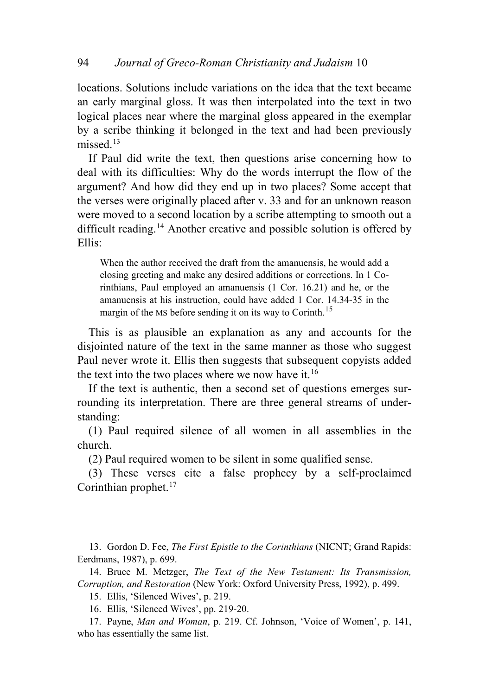locations. Solutions include variations on the idea that the text became an early marginal gloss. It was then interpolated into the text in two logical places near where the marginal gloss appeared in the exemplar by a scribe thinking it belonged in the text and had been previously missed $13$ 

If Paul did write the text, then questions arise concerning how to deal with its difficulties: Why do the words interrupt the flow of the argument? And how did they end up in two places? Some accept that the verses were originally placed after v. 33 and for an unknown reason were moved to a second location by a scribe attempting to smooth out a difficult reading.<sup>[14](#page-4-1)</sup> Another creative and possible solution is offered by Ellis:

When the author received the draft from the amanuensis, he would add a closing greeting and make any desired additions or corrections. In 1 Corinthians, Paul employed an amanuensis (1 Cor. 16.21) and he, or the amanuensis at his instruction, could have added 1 Cor. 14.34-35 in the margin of the MS before sending it on its way to Corinth.<sup>[15](#page-4-2)</sup>

This is as plausible an explanation as any and accounts for the disjointed nature of the text in the same manner as those who suggest Paul never wrote it. Ellis then suggests that subsequent copyists added the text into the two places where we now have it.<sup>[16](#page-4-3)</sup>

If the text is authentic, then a second set of questions emerges surrounding its interpretation. There are three general streams of understanding:

(1) Paul required silence of all women in all assemblies in the church.

(2) Paul required women to be silent in some qualified sense.

(3) These verses cite a false prophecy by a self-proclaimed Corinthian prophet.<sup>[17](#page-4-4)</sup>

<span id="page-4-0"></span>13. Gordon D. Fee, *The First Epistle to the Corinthians* (NICNT; Grand Rapids: Eerdmans, 1987), p. 699.

<span id="page-4-2"></span><span id="page-4-1"></span>14. Bruce M. Metzger, *The Text of the New Testament: Its Transmission, Corruption, and Restoration* (New York: Oxford University Press, 1992), p. 499.

15. Ellis, 'Silenced Wives', p. 219.

16. Ellis, 'Silenced Wives', pp. 219-20.

<span id="page-4-4"></span><span id="page-4-3"></span>17. Payne, *Man and Woman*, p. 219. Cf. Johnson, 'Voice of Women', p. 141, who has essentially the same list.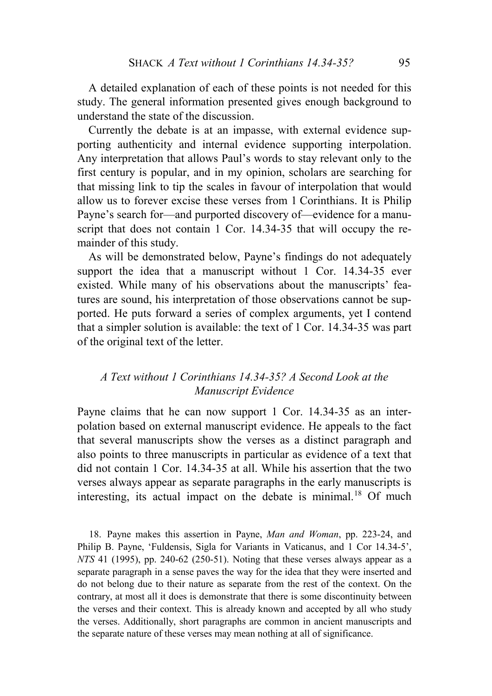A detailed explanation of each of these points is not needed for this study. The general information presented gives enough background to understand the state of the discussion.

Currently the debate is at an impasse, with external evidence supporting authenticity and internal evidence supporting interpolation. Any interpretation that allows Paul's words to stay relevant only to the first century is popular, and in my opinion, scholars are searching for that missing link to tip the scales in favour of interpolation that would allow us to forever excise these verses from 1 Corinthians. It is Philip Payne's search for—and purported discovery of—evidence for a manuscript that does not contain 1 Cor. 14.34-35 that will occupy the remainder of this study.

As will be demonstrated below, Payne's findings do not adequately support the idea that a manuscript without 1 Cor. 14.34-35 ever existed. While many of his observations about the manuscripts' features are sound, his interpretation of those observations cannot be supported. He puts forward a series of complex arguments, yet I contend that a simpler solution is available: the text of 1 Cor. 14.34-35 was part of the original text of the letter.

# *A Text without 1 Corinthians 14.34-35? A Second Look at the Manuscript Evidence*

Payne claims that he can now support 1 Cor. 14.34-35 as an interpolation based on external manuscript evidence. He appeals to the fact that several manuscripts show the verses as a distinct paragraph and also points to three manuscripts in particular as evidence of a text that did not contain 1 Cor. 14.34-35 at all. While his assertion that the two verses always appear as separate paragraphs in the early manuscripts is interesting, its actual impact on the debate is minimal.<sup>[18](#page-5-0)</sup> Of much

<span id="page-5-0"></span>18. Payne makes this assertion in Payne, *Man and Woman*, pp. 223-24, and Philip B. Payne, 'Fuldensis, Sigla for Variants in Vaticanus, and 1 Cor 14.34-5', *NTS* 41 (1995), pp. 240-62 (250-51). Noting that these verses always appear as a separate paragraph in a sense paves the way for the idea that they were inserted and do not belong due to their nature as separate from the rest of the context. On the contrary, at most all it does is demonstrate that there is some discontinuity between the verses and their context. This is already known and accepted by all who study the verses. Additionally, short paragraphs are common in ancient manuscripts and the separate nature of these verses may mean nothing at all of significance.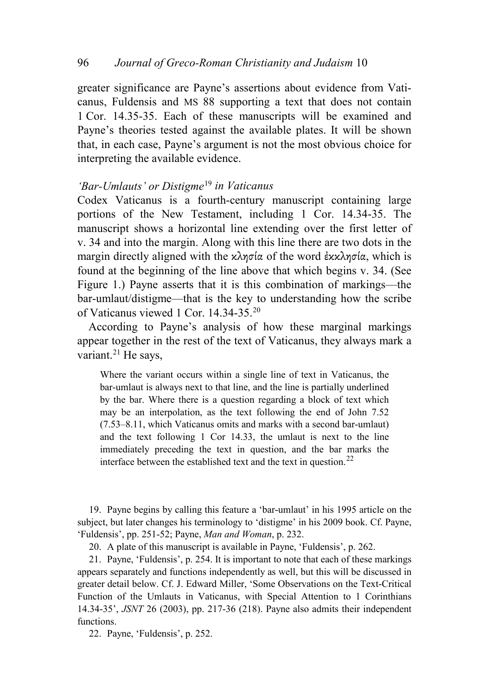greater significance are Payne's assertions about evidence from Vaticanus, Fuldensis and MS 88 supporting a text that does not contain 1 Cor. 14.35-35. Each of these manuscripts will be examined and Payne's theories tested against the available plates. It will be shown that, in each case, Payne's argument is not the most obvious choice for interpreting the available evidence.

## *'Bar-Umlauts' or Distigme*[19](#page-6-0) *in Vaticanus*

Codex Vaticanus is a fourth-century manuscript containing large portions of the New Testament, including 1 Cor. 14.34-35. The manuscript shows a horizontal line extending over the first letter of v. 34 and into the margin. Along with this line there are two dots in the margin directly aligned with the κλησία of the word έκκλησία, which is found at the beginning of the line above that which begins v. 34. (See Figure 1.) Payne asserts that it is this combination of markings—the bar-umlaut/distigme—that is the key to understanding how the scribe of Vaticanus viewed 1 Cor. 14.34-35.[20](#page-6-1)

According to Payne's analysis of how these marginal markings appear together in the rest of the text of Vaticanus, they always mark a variant. $21$  He says,

Where the variant occurs within a single line of text in Vaticanus, the bar-umlaut is always next to that line, and the line is partially underlined by the bar. Where there is a question regarding a block of text which may be an interpolation, as the text following the end of John 7.52 (7.53–8.11, which Vaticanus omits and marks with a second bar-umlaut) and the text following 1 Cor 14.33, the umlaut is next to the line immediately preceding the text in question, and the bar marks the interface between the established text and the text in question.<sup>[22](#page-6-3)</sup>

<span id="page-6-0"></span>19. Payne begins by calling this feature a 'bar-umlaut' in his 1995 article on the subject, but later changes his terminology to 'distigme' in his 2009 book. Cf. Payne, 'Fuldensis', pp. 251-52; Payne, *Man and Woman*, p. 232.

20. A plate of this manuscript is available in Payne, 'Fuldensis', p. 262.

<span id="page-6-2"></span><span id="page-6-1"></span>21. Payne, 'Fuldensis', p. 254. It is important to note that each of these markings appears separately and functions independently as well, but this will be discussed in greater detail below. Cf. J. Edward Miller, 'Some Observations on the Text-Critical Function of the Umlauts in Vaticanus, with Special Attention to 1 Corinthians 14.34-35', *JSNT* 26 (2003), pp. 217-36 (218). Payne also admits their independent functions.

<span id="page-6-3"></span>22. Payne, 'Fuldensis', p. 252.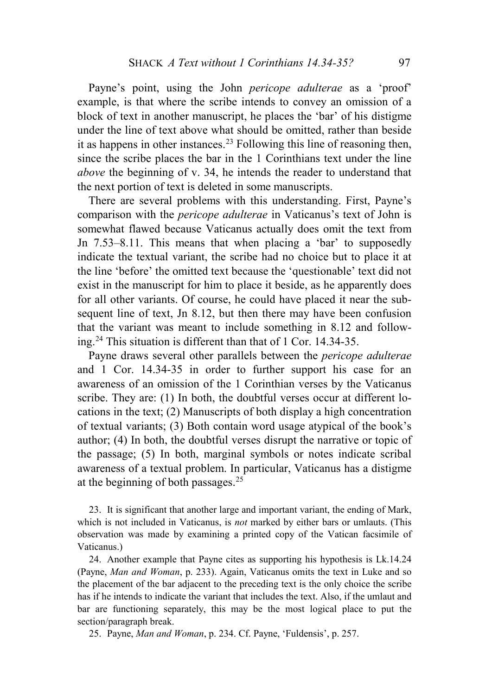Payne's point, using the John *pericope adulterae* as a 'proof' example, is that where the scribe intends to convey an omission of a block of text in another manuscript, he places the 'bar' of his distigme under the line of text above what should be omitted, rather than beside it as happens in other instances.<sup>[23](#page-7-0)</sup> Following this line of reasoning then, since the scribe places the bar in the 1 Corinthians text under the line *above* the beginning of v. 34, he intends the reader to understand that the next portion of text is deleted in some manuscripts.

There are several problems with this understanding. First, Payne's comparison with the *pericope adulterae* in Vaticanus's text of John is somewhat flawed because Vaticanus actually does omit the text from Jn 7.53–8.11. This means that when placing a 'bar' to supposedly indicate the textual variant, the scribe had no choice but to place it at the line 'before' the omitted text because the 'questionable' text did not exist in the manuscript for him to place it beside, as he apparently does for all other variants. Of course, he could have placed it near the subsequent line of text, Jn 8.12, but then there may have been confusion that the variant was meant to include something in 8.12 and following.[24](#page-7-1) This situation is different than that of 1 Cor. 14.34-35.

Payne draws several other parallels between the *pericope adulterae* and 1 Cor. 14.34-35 in order to further support his case for an awareness of an omission of the 1 Corinthian verses by the Vaticanus scribe. They are: (1) In both, the doubtful verses occur at different locations in the text; (2) Manuscripts of both display a high concentration of textual variants; (3) Both contain word usage atypical of the book's author; (4) In both, the doubtful verses disrupt the narrative or topic of the passage; (5) In both, marginal symbols or notes indicate scribal awareness of a textual problem. In particular, Vaticanus has a distigme at the beginning of both passages.  $25$ 

<span id="page-7-0"></span>23. It is significant that another large and important variant, the ending of Mark, which is not included in Vaticanus, is *not* marked by either bars or umlauts. (This observation was made by examining a printed copy of the Vatican facsimile of Vaticanus.)

<span id="page-7-1"></span>24. Another example that Payne cites as supporting his hypothesis is Lk.14.24 (Payne, *Man and Woman*, p. 233). Again, Vaticanus omits the text in Luke and so the placement of the bar adjacent to the preceding text is the only choice the scribe has if he intends to indicate the variant that includes the text. Also, if the umlaut and bar are functioning separately, this may be the most logical place to put the section/paragraph break.

<span id="page-7-2"></span>25. Payne, *Man and Woman*, p. 234. Cf. Payne, 'Fuldensis', p. 257.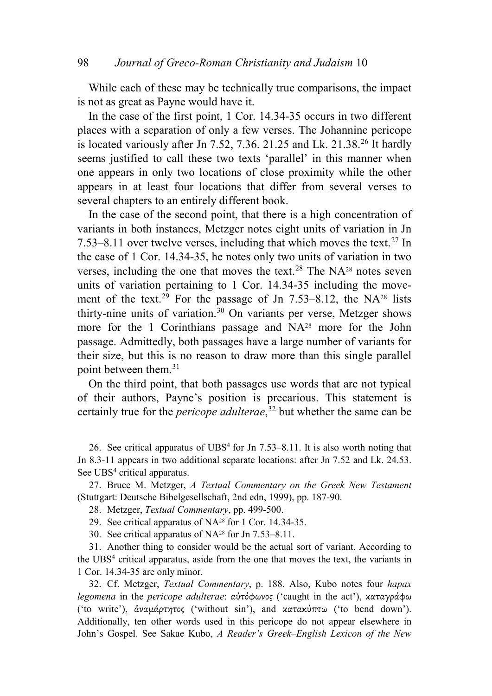While each of these may be technically true comparisons, the impact is not as great as Payne would have it.

In the case of the first point, 1 Cor. 14.34-35 occurs in two different places with a separation of only a few verses. The Johannine pericope is located variously after Jn  $7.52$ ,  $7.36$ .  $21.25$  and Lk.  $21.38$ <sup>[26](#page-8-0)</sup> It hardly seems justified to call these two texts 'parallel' in this manner when one appears in only two locations of close proximity while the other appears in at least four locations that differ from several verses to several chapters to an entirely different book.

In the case of the second point, that there is a high concentration of variants in both instances, Metzger notes eight units of variation in Jn 7.53–8.11 over twelve verses, including that which moves the text.<sup>[27](#page-8-1)</sup> In the case of 1 Cor. 14.34-35, he notes only two units of variation in two verses, including the one that moves the text.<sup>[28](#page-8-2)</sup> The NA<sup>28</sup> notes seven units of variation pertaining to 1 Cor. 14.34-35 including the move-ment of the text.<sup>[29](#page-8-3)</sup> For the passage of Jn 7.53–8.12, the NA<sup>28</sup> lists thirty-nine units of variation.<sup>[30](#page-8-4)</sup> On variants per verse, Metzger shows more for the 1 Corinthians passage and NA<sup>28</sup> more for the John passage. Admittedly, both passages have a large number of variants for their size, but this is no reason to draw more than this single parallel point between them.[31](#page-8-5)

On the third point, that both passages use words that are not typical of their authors, Payne's position is precarious. This statement is certainly true for the *pericope adulterae*, [32](#page-8-6) but whether the same can be

<span id="page-8-0"></span>26. See critical apparatus of  $UBS<sup>4</sup>$  for Jn 7.53–8.11. It is also worth noting that Jn 8.3-11 appears in two additional separate locations: after Jn 7.52 and Lk. 24.53. See UBS<sup>4</sup> critical apparatus.

<span id="page-8-2"></span><span id="page-8-1"></span>27. Bruce M. Metzger, *A Textual Commentary on the Greek New Testament* (Stuttgart: Deutsche Bibelgesellschaft, 2nd edn, 1999), pp. 187-90.

28. Metzger, *Textual Commentary*, pp. 499-500.

29. See critical apparatus of NA28 for 1 Cor. 14.34-35.

30. See critical apparatus of NA28 for Jn 7.53–8.11.

<span id="page-8-5"></span><span id="page-8-4"></span><span id="page-8-3"></span>31. Another thing to consider would be the actual sort of variant. According to the UBS4 critical apparatus, aside from the one that moves the text, the variants in 1 Cor. 14.34-35 are only minor.

<span id="page-8-6"></span>32. Cf. Metzger, *Textual Commentary*, p. 188. Also, Kubo notes four *hapax legomena* in the *pericope adulterae*: αὐτόφωνος ('caught in the act'), καταγράφω ('to write'), ἀναμάρτητος ('without sin'), and κατακύπτω ('to bend down'). Additionally, ten other words used in this pericope do not appear elsewhere in John's Gospel. See Sakae Kubo, *A Reader's Greek–English Lexicon of the New*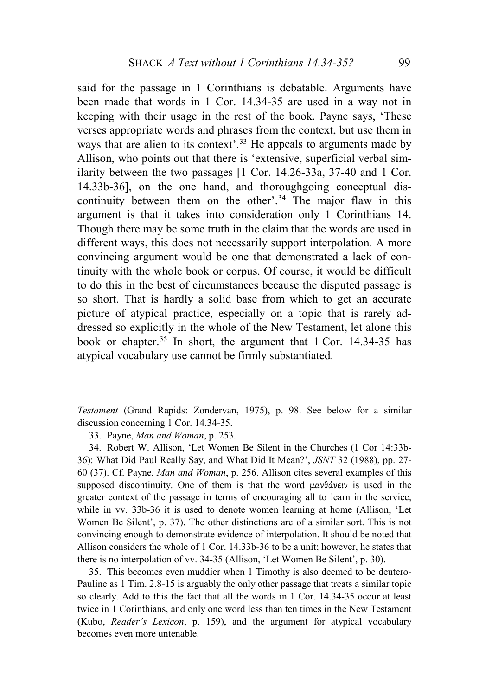said for the passage in 1 Corinthians is debatable. Arguments have been made that words in 1 Cor. 14.34-35 are used in a way not in keeping with their usage in the rest of the book. Payne says, 'These verses appropriate words and phrases from the context, but use them in ways that are alien to its context'.<sup>[33](#page-9-0)</sup> He appeals to arguments made by Allison, who points out that there is 'extensive, superficial verbal similarity between the two passages [1 Cor. 14.26-33a, 37-40 and 1 Cor. 14.33b-36], on the one hand, and thoroughgoing conceptual dis-continuity between them on the other'.<sup>[34](#page-9-1)</sup> The major flaw in this argument is that it takes into consideration only 1 Corinthians 14. Though there may be some truth in the claim that the words are used in different ways, this does not necessarily support interpolation. A more convincing argument would be one that demonstrated a lack of continuity with the whole book or corpus. Of course, it would be difficult to do this in the best of circumstances because the disputed passage is so short. That is hardly a solid base from which to get an accurate picture of atypical practice, especially on a topic that is rarely addressed so explicitly in the whole of the New Testament, let alone this book or chapter.<sup>[35](#page-9-2)</sup> In short, the argument that 1 Cor. 14.34-35 has atypical vocabulary use cannot be firmly substantiated.

*Testament* (Grand Rapids: Zondervan, 1975), p. 98. See below for a similar discussion concerning 1 Cor. 14.34-35.

33. Payne, *Man and Woman*, p. 253.

<span id="page-9-1"></span><span id="page-9-0"></span>34. Robert W. Allison, 'Let Women Be Silent in the Churches (1 Cor 14:33b-36): What Did Paul Really Say, and What Did It Mean?', *JSNT* 32 (1988), pp. 27- 60 (37). Cf. Payne, *Man and Woman*, p. 256. Allison cites several examples of this supposed discontinuity. One of them is that the word μανθάνειν is used in the greater context of the passage in terms of encouraging all to learn in the service, while in vv. 33b-36 it is used to denote women learning at home (Allison, 'Let Women Be Silent', p. 37). The other distinctions are of a similar sort. This is not convincing enough to demonstrate evidence of interpolation. It should be noted that Allison considers the whole of 1 Cor. 14.33b-36 to be a unit; however, he states that there is no interpolation of vv. 34-35 (Allison, 'Let Women Be Silent', p. 30).

<span id="page-9-2"></span>35. This becomes even muddier when 1 Timothy is also deemed to be deutero-Pauline as 1 Tim. 2.8-15 is arguably the only other passage that treats a similar topic so clearly. Add to this the fact that all the words in 1 Cor. 14.34-35 occur at least twice in 1 Corinthians, and only one word less than ten times in the New Testament (Kubo, *Reader's Lexicon*, p. 159), and the argument for atypical vocabulary becomes even more untenable.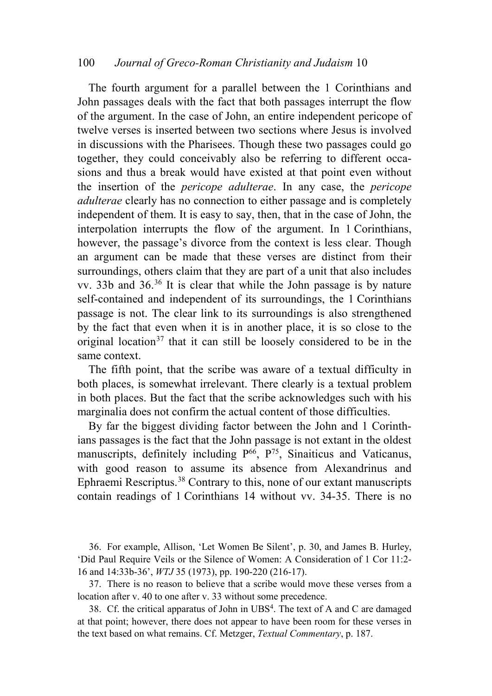### 100 *Journal of Greco-Roman Christianity and Judaism* 10

The fourth argument for a parallel between the 1 Corinthians and John passages deals with the fact that both passages interrupt the flow of the argument. In the case of John, an entire independent pericope of twelve verses is inserted between two sections where Jesus is involved in discussions with the Pharisees. Though these two passages could go together, they could conceivably also be referring to different occasions and thus a break would have existed at that point even without the insertion of the *pericope adulterae*. In any case, the *pericope adulterae* clearly has no connection to either passage and is completely independent of them. It is easy to say, then, that in the case of John, the interpolation interrupts the flow of the argument. In 1 Corinthians, however, the passage's divorce from the context is less clear. Though an argument can be made that these verses are distinct from their surroundings, others claim that they are part of a unit that also includes vv. 33b and 36.[36](#page-10-0) It is clear that while the John passage is by nature self-contained and independent of its surroundings, the 1 Corinthians passage is not. The clear link to its surroundings is also strengthened by the fact that even when it is in another place, it is so close to the original location<sup>[37](#page-10-1)</sup> that it can still be loosely considered to be in the same context.

The fifth point, that the scribe was aware of a textual difficulty in both places, is somewhat irrelevant. There clearly is a textual problem in both places. But the fact that the scribe acknowledges such with his marginalia does not confirm the actual content of those difficulties.

By far the biggest dividing factor between the John and 1 Corinthians passages is the fact that the John passage is not extant in the oldest manuscripts, definitely including P<sup>66</sup>, P<sup>75</sup>, Sinaiticus and Vaticanus, with good reason to assume its absence from Alexandrinus and Ephraemi Rescriptus.[38](#page-10-2) Contrary to this, none of our extant manuscripts contain readings of 1 Corinthians 14 without vv. 34-35. There is no

<span id="page-10-0"></span>36. For example, Allison, 'Let Women Be Silent', p. 30, and James B. Hurley, 'Did Paul Require Veils or the Silence of Women: A Consideration of 1 Cor 11:2- 16 and 14:33b-36', *WTJ* 35 (1973), pp. 190-220 (216-17).

<span id="page-10-1"></span>37. There is no reason to believe that a scribe would move these verses from a location after v. 40 to one after v. 33 without some precedence.

<span id="page-10-2"></span>38. Cf. the critical apparatus of John in UBS<sup>4</sup>. The text of A and C are damaged at that point; however, there does not appear to have been room for these verses in the text based on what remains. Cf. Metzger, *Textual Commentary*, p. 187.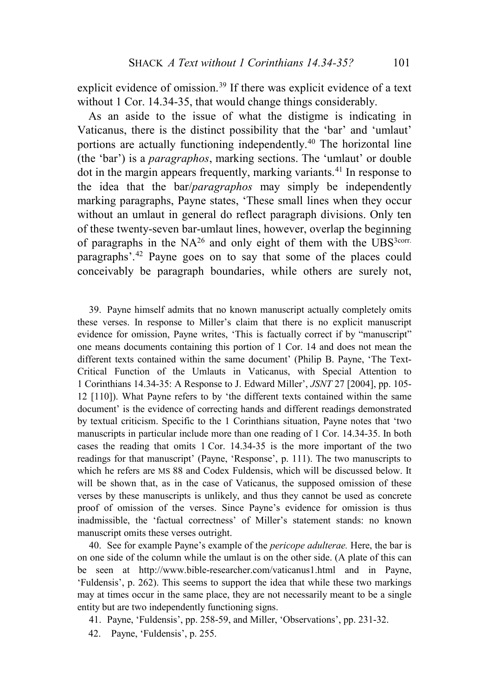explicit evidence of omission.<sup>[39](#page-11-0)</sup> If there was explicit evidence of a text without 1 Cor. 14.34-35, that would change things considerably.

As an aside to the issue of what the distigme is indicating in Vaticanus, there is the distinct possibility that the 'bar' and 'umlaut' portions are actually functioning independently[.40](#page-11-1) The horizontal line (the 'bar') is a *paragraphos*, marking sections. The 'umlaut' or double dot in the margin appears frequently, marking variants.<sup>[41](#page-11-2)</sup> In response to the idea that the bar/*paragraphos* may simply be independently marking paragraphs, Payne states, 'These small lines when they occur without an umlaut in general do reflect paragraph divisions. Only ten of these twenty-seven bar-umlaut lines, however, overlap the beginning of paragraphs in the  $NA^{26}$  and only eight of them with the UBS<sup>3corr.</sup> paragraphs'.[42](#page-11-3) Payne goes on to say that some of the places could conceivably be paragraph boundaries, while others are surely not,

<span id="page-11-0"></span>39. Payne himself admits that no known manuscript actually completely omits these verses. In response to Miller's claim that there is no explicit manuscript evidence for omission, Payne writes, 'This is factually correct if by "manuscript" one means documents containing this portion of 1 Cor. 14 and does not mean the different texts contained within the same document' (Philip B. Payne, 'The Text-Critical Function of the Umlauts in Vaticanus, with Special Attention to 1 Corinthians 14.34-35: A Response to J. Edward Miller', *JSNT* 27 [2004], pp. 105- 12 [110]). What Payne refers to by 'the different texts contained within the same document' is the evidence of correcting hands and different readings demonstrated by textual criticism. Specific to the 1 Corinthians situation, Payne notes that 'two manuscripts in particular include more than one reading of 1 Cor. 14.34-35. In both cases the reading that omits 1 Cor. 14.34-35 is the more important of the two readings for that manuscript' (Payne, 'Response', p. 111). The two manuscripts to which he refers are MS 88 and Codex Fuldensis, which will be discussed below. It will be shown that, as in the case of Vaticanus, the supposed omission of these verses by these manuscripts is unlikely, and thus they cannot be used as concrete proof of omission of the verses. Since Payne's evidence for omission is thus inadmissible, the 'factual correctness' of Miller's statement stands: no known manuscript omits these verses outright.

<span id="page-11-1"></span>40. See for example Payne's example of the *pericope adulterae.* Here, the bar is on one side of the column while the umlaut is on the other side. (A plate of this can be seen at http://www.bible-researcher.com/vaticanus1.html and in Payne, 'Fuldensis', p. 262). This seems to support the idea that while these two markings may at times occur in the same place, they are not necessarily meant to be a single entity but are two independently functioning signs.

- <span id="page-11-2"></span>41. Payne, 'Fuldensis', pp. 258-59, and Miller, 'Observations', pp. 231-32.
- <span id="page-11-3"></span>42. Payne, 'Fuldensis', p. 255.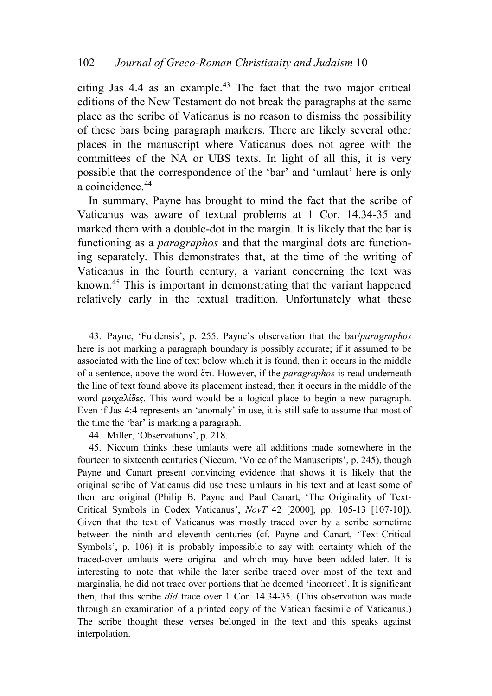citing Jas  $4.4$  as an example.<sup>[43](#page-12-0)</sup> The fact that the two major critical editions of the New Testament do not break the paragraphs at the same place as the scribe of Vaticanus is no reason to dismiss the possibility of these bars being paragraph markers. There are likely several other places in the manuscript where Vaticanus does not agree with the committees of the NA or UBS texts. In light of all this, it is very possible that the correspondence of the 'bar' and 'umlaut' here is only a coincidence.<sup>[44](#page-12-1)</sup>

In summary, Payne has brought to mind the fact that the scribe of Vaticanus was aware of textual problems at 1 Cor. 14.34-35 and marked them with a double-dot in the margin. It is likely that the bar is functioning as a *paragraphos* and that the marginal dots are functioning separately. This demonstrates that, at the time of the writing of Vaticanus in the fourth century, a variant concerning the text was known.[45](#page-12-2) This is important in demonstrating that the variant happened relatively early in the textual tradition. Unfortunately what these

<span id="page-12-0"></span>43. Payne, 'Fuldensis', p. 255. Payne's observation that the bar/*paragraphos* here is not marking a paragraph boundary is possibly accurate; if it assumed to be associated with the line of text below which it is found, then it occurs in the middle of a sentence, above the word ὅτι. However, if the *paragraphos* is read underneath the line of text found above its placement instead, then it occurs in the middle of the word μοιχαλίδες. This word would be a logical place to begin a new paragraph. Even if Jas 4:4 represents an 'anomaly' in use, it is still safe to assume that most of the time the 'bar' is marking a paragraph.

44. Miller, 'Observations', p. 218.

<span id="page-12-2"></span><span id="page-12-1"></span>45. Niccum thinks these umlauts were all additions made somewhere in the fourteen to sixteenth centuries (Niccum, 'Voice of the Manuscripts', p. 245), though Payne and Canart present convincing evidence that shows it is likely that the original scribe of Vaticanus did use these umlauts in his text and at least some of them are original (Philip B. Payne and Paul Canart, 'The Originality of Text-Critical Symbols in Codex Vaticanus', *NovT* 42 [2000], pp. 105-13 [107-10]). Given that the text of Vaticanus was mostly traced over by a scribe sometime between the ninth and eleventh centuries (cf. Payne and Canart, 'Text-Critical Symbols', p. 106) it is probably impossible to say with certainty which of the traced-over umlauts were original and which may have been added later. It is interesting to note that while the later scribe traced over most of the text and marginalia, he did not trace over portions that he deemed 'incorrect'. It is significant then, that this scribe *did* trace over 1 Cor. 14.34-35. (This observation was made through an examination of a printed copy of the Vatican facsimile of Vaticanus.) The scribe thought these verses belonged in the text and this speaks against interpolation.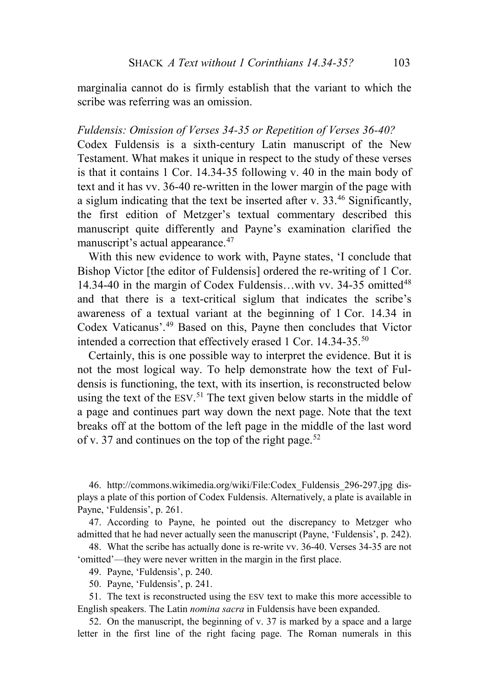marginalia cannot do is firmly establish that the variant to which the scribe was referring was an omission.

#### *Fuldensis: Omission of Verses 34-35 or Repetition of Verses 36-40?*

Codex Fuldensis is a sixth-century Latin manuscript of the New Testament. What makes it unique in respect to the study of these verses is that it contains 1 Cor. 14.34-35 following v. 40 in the main body of text and it has vv. 36-40 re-written in the lower margin of the page with a siglum indicating that the text be inserted after v.  $33<sup>46</sup>$  $33<sup>46</sup>$  $33<sup>46</sup>$  Significantly, the first edition of Metzger's textual commentary described this manuscript quite differently and Payne's examination clarified the manuscript's actual appearance.<sup>[47](#page-13-1)</sup>

With this new evidence to work with, Payne states, 'I conclude that Bishop Victor [the editor of Fuldensis] ordered the re-writing of 1 Cor. 14.34-40 in the margin of Codex Fuldensis...with vv. 34-35 omitted<sup>[48](#page-13-2)</sup> and that there is a text-critical siglum that indicates the scribe's awareness of a textual variant at the beginning of 1 Cor. 14.34 in Codex Vaticanus'.[49](#page-13-3) Based on this, Payne then concludes that Victor intended a correction that effectively erased 1 Cor. 14.34-35.[50](#page-13-4)

Certainly, this is one possible way to interpret the evidence. But it is not the most logical way. To help demonstrate how the text of Fuldensis is functioning, the text, with its insertion, is reconstructed below using the text of the ESV.<sup>[51](#page-13-5)</sup> The text given below starts in the middle of a page and continues part way down the next page. Note that the text breaks off at the bottom of the left page in the middle of the last word of v. 37 and continues on the top of the right page.<sup>[52](#page-13-6)</sup>

<span id="page-13-0"></span>46. http://commons.wikimedia.org/wiki/File:Codex\_Fuldensis\_296-297.jpg displays a plate of this portion of Codex Fuldensis. Alternatively, a plate is available in Payne, 'Fuldensis', p. 261.

<span id="page-13-1"></span>47. According to Payne, he pointed out the discrepancy to Metzger who admitted that he had never actually seen the manuscript (Payne, 'Fuldensis', p. 242).

<span id="page-13-3"></span><span id="page-13-2"></span>48. What the scribe has actually done is re-write vv. 36-40. Verses 34-35 are not 'omitted'—they were never written in the margin in the first place.

49. Payne, 'Fuldensis', p. 240.

50. Payne, 'Fuldensis', p. 241.

<span id="page-13-5"></span><span id="page-13-4"></span>51. The text is reconstructed using the ESV text to make this more accessible to English speakers. The Latin *nomina sacra* in Fuldensis have been expanded.

<span id="page-13-6"></span>52. On the manuscript, the beginning of v. 37 is marked by a space and a large letter in the first line of the right facing page. The Roman numerals in this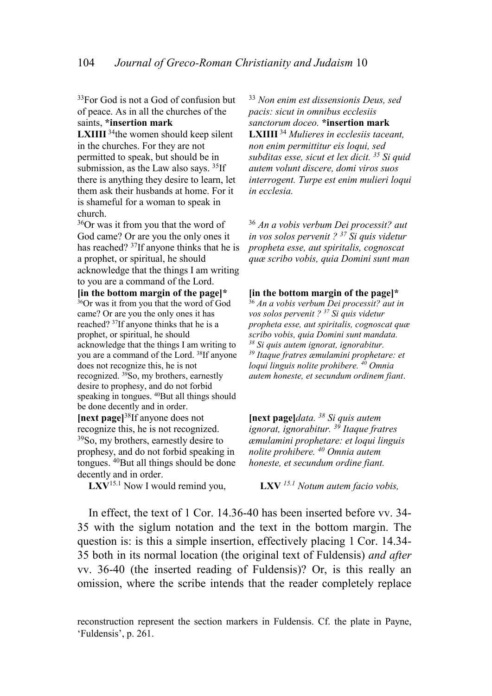$33$ For God is not a God of confusion but of peace. As in all the churches of the saints, **\*insertion mark**

**LXIIII**<sup>34</sup>the women should keep silent in the churches. For they are not permitted to speak, but should be in submission, as the Law also says.  $35$ If there is anything they desire to learn, let them ask their husbands at home. For it is shameful for a woman to speak in church.

36Or was it from you that the word of God came? Or are you the only ones it has reached? 37If anyone thinks that he is a prophet, or spiritual, he should acknowledge that the things I am writing to you are a command of the Lord.

**[in the bottom margin of the page]\***  $36$ Or was it from you that the word of God came? Or are you the only ones it has reached? 37If anyone thinks that he is a prophet, or spiritual, he should acknowledge that the things I am writing to you are a command of the Lord. 38If anyone does not recognize this, he is not recognized. 39So, my brothers, earnestly desire to prophesy, and do not forbid speaking in tongues. <sup>40</sup>But all things should be done decently and in order. **[next page]**38If anyone does not recognize this, he is not recognized. 39So, my brothers, earnestly desire to prophesy, and do not forbid speaking in tongues. <sup>40</sup>But all things should be done

decently and in order.<br>LXV<sup>15.1</sup> Now I would remind you,

<sup>33</sup> *Non enim est dissensionis Deus, sed pacis: sicut in omnibus ecclesiis sanctorum doceo.* **\*insertion mark LXIIII** <sup>34</sup> *Mulieres in ecclesiis taceant, non enim permittitur eis loqui, sed subditas esse, sicut et lex dicit. 35 Si quid autem volunt discere, domi viros suos interrogent. Turpe est enim mulieri loqui in ecclesia.*

<sup>36</sup> *An a vobis verbum Dei processit? aut in vos solos pervenit ? 37 Si quis videtur propheta esse, aut spiritalis, cognoscat quæ scribo vobis, quia Domini sunt man*

**[in the bottom margin of the page]\*** <sup>36</sup> *An a vobis verbum Dei processit? aut in vos solos pervenit ? 37 Si quis videtur propheta esse, aut spiritalis, cognoscat quæ scribo vobis, quia Domini sunt mandata. <sup>38</sup> Si quis autem ignorat, ignorabitur. <sup>39</sup> Itaque fratres æmulamini prophetare: et loqui linguis nolite prohibere. 40 Omnia autem honeste, et secundum ordinem fiant*.

**[next page]***data. 38 Si quis autem ignorat, ignorabitur. 39 Itaque fratres æmulamini prophetare: et loqui linguis nolite prohibere. 40 Omnia autem honeste, et secundum ordine fiant.*

**LXV** <sup>15.1</sup> Notum autem facio vobis,

In effect, the text of 1 Cor. 14.36-40 has been inserted before vv. 34- 35 with the siglum notation and the text in the bottom margin. The question is: is this a simple insertion, effectively placing 1 Cor. 14.34- 35 both in its normal location (the original text of Fuldensis) *and after* vv. 36-40 (the inserted reading of Fuldensis)? Or, is this really an omission, where the scribe intends that the reader completely replace

reconstruction represent the section markers in Fuldensis. Cf. the plate in Payne, 'Fuldensis', p. 261.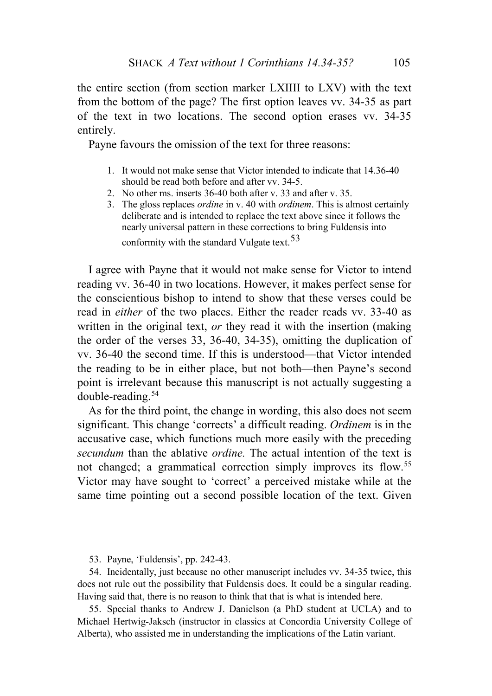the entire section (from section marker LXIIII to LXV) with the text from the bottom of the page? The first option leaves vv. 34-35 as part of the text in two locations. The second option erases vv. 34-35 entirely.

Payne favours the omission of the text for three reasons:

- 1. It would not make sense that Victor intended to indicate that 14.36-40 should be read both before and after vv. 34-5.
- 2. No other ms. inserts 36-40 both after v. 33 and after v. 35.
- 3. The gloss replaces *ordine* in v. 40 with *ordinem*. This is almost certainly deliberate and is intended to replace the text above since it follows the nearly universal pattern in these corrections to bring Fuldensis into conformity with the standard Vulgate text.[53](#page-15-0)

I agree with Payne that it would not make sense for Victor to intend reading vv. 36-40 in two locations. However, it makes perfect sense for the conscientious bishop to intend to show that these verses could be read in *either* of the two places. Either the reader reads vv. 33-40 as written in the original text, *or* they read it with the insertion (making the order of the verses 33, 36-40, 34-35), omitting the duplication of vv. 36-40 the second time. If this is understood—that Victor intended the reading to be in either place, but not both—then Payne's second point is irrelevant because this manuscript is not actually suggesting a double-reading.[54](#page-15-1)

As for the third point, the change in wording, this also does not seem significant. This change 'corrects' a difficult reading. *Ordinem* is in the accusative case, which functions much more easily with the preceding *secundum* than the ablative *ordine.* The actual intention of the text is not changed; a grammatical correction simply improves its flow.<sup>[55](#page-15-2)</sup> Victor may have sought to 'correct' a perceived mistake while at the same time pointing out a second possible location of the text. Given

53. Payne, 'Fuldensis', pp. 242-43.

<span id="page-15-1"></span><span id="page-15-0"></span>54. Incidentally, just because no other manuscript includes vv. 34-35 twice, this does not rule out the possibility that Fuldensis does. It could be a singular reading. Having said that, there is no reason to think that that is what is intended here.

<span id="page-15-2"></span>55. Special thanks to Andrew J. Danielson (a PhD student at UCLA) and to Michael Hertwig-Jaksch (instructor in classics at Concordia University College of Alberta), who assisted me in understanding the implications of the Latin variant.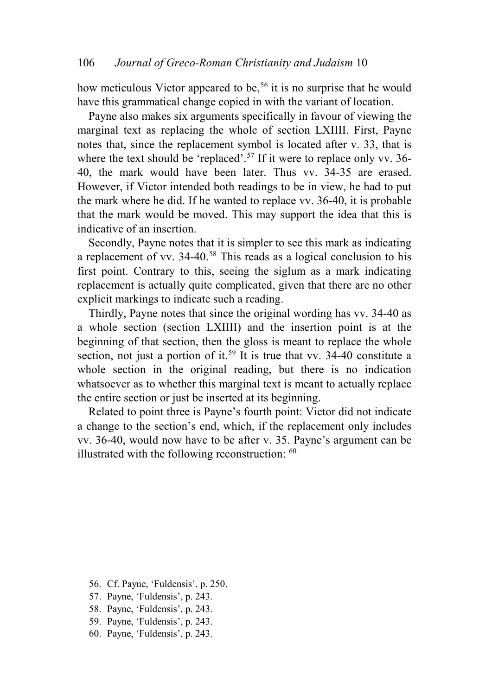how meticulous Victor appeared to be,<sup>[56](#page-16-0)</sup> it is no surprise that he would have this grammatical change copied in with the variant of location.

Payne also makes six arguments specifically in favour of viewing the marginal text as replacing the whole of section LXIIII. First, Payne notes that, since the replacement symbol is located after v. 33, that is where the text should be 'replaced'.<sup>[57](#page-16-1)</sup> If it were to replace only vv. 36-40, the mark would have been later. Thus vv. 34-35 are erased. However, if Victor intended both readings to be in view, he had to put the mark where he did. If he wanted to replace vv. 36-40, it is probable that the mark would be moved. This may support the idea that this is indicative of an insertion.

Secondly, Payne notes that it is simpler to see this mark as indicating a replacement of vv. 34-40.[58](#page-16-2) This reads as a logical conclusion to his first point. Contrary to this, seeing the siglum as a mark indicating replacement is actually quite complicated, given that there are no other explicit markings to indicate such a reading.

Thirdly, Payne notes that since the original wording has vv. 34-40 as a whole section (section LXIIII) and the insertion point is at the beginning of that section, then the gloss is meant to replace the whole section, not just a portion of it.<sup>[59](#page-16-3)</sup> It is true that vv. 34-40 constitute a whole section in the original reading, but there is no indication whatsoever as to whether this marginal text is meant to actually replace the entire section or just be inserted at its beginning.

Related to point three is Payne's fourth point: Victor did not indicate a change to the section's end, which, if the replacement only includes vv. 36-40, would now have to be after v. 35. Payne's argument can be illustrated with the following reconstruction: [60](#page-16-4)

- <span id="page-16-0"></span>56. Cf. Payne, 'Fuldensis', p. 250.
- <span id="page-16-1"></span>57. Payne, 'Fuldensis', p. 243.
- <span id="page-16-2"></span>58. Payne, 'Fuldensis', p. 243.
- <span id="page-16-3"></span>59. Payne, 'Fuldensis', p. 243.
- <span id="page-16-4"></span>60. Payne, 'Fuldensis', p. 243.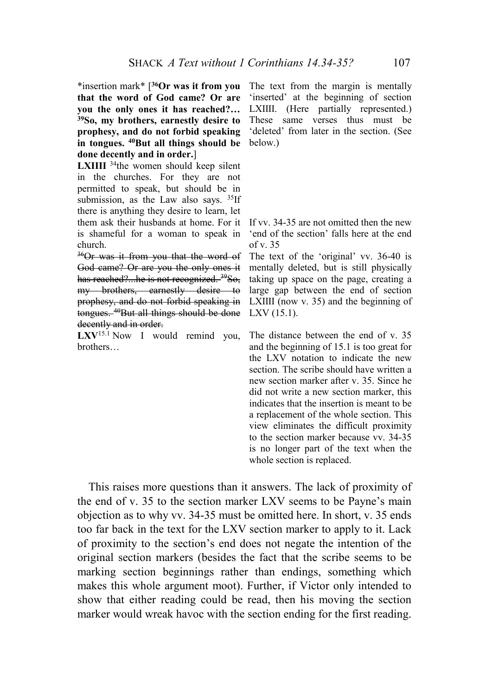\*insertion mark\* [**36Or was it from you that the word of God came? Or are you the only ones it has reached?… 39So, my brothers, earnestly desire to prophesy, and do not forbid speaking in tongues. 40But all things should be done decently and in order.**]

**LXIIII** <sup>34</sup>the women should keep silent in the churches. For they are not permitted to speak, but should be in submission, as the Law also says.  $35$ If there is anything they desire to learn, let them ask their husbands at home. For it is shameful for a woman to speak in church.

<sup>36</sup>Or was it from you that the word of God came? Or are you the only ones it has reached?...he is not recognized. <sup>39</sup>So, my brothers, earnestly desire to prophesy, and do not forbid speaking in tongues. <sup>40</sup>But all things should be done decently and in order.

LXV<sup>15.1</sup> Now I would remind you, brothers…

The text from the margin is mentally 'inserted' at the beginning of section LXIIII. (Here partially represented.) These same verses thus must be 'deleted' from later in the section. (See below.)

If vv. 34-35 are not omitted then the new 'end of the section' falls here at the end of v.  $35$ 

The text of the 'original' vv. 36-40 is mentally deleted, but is still physically taking up space on the page, creating a large gap between the end of section LXIIII (now v. 35) and the beginning of LXV (15.1).

The distance between the end of v. 35 and the beginning of 15.1 is too great for the LXV notation to indicate the new section. The scribe should have written a new section marker after v. 35. Since he did not write a new section marker, this indicates that the insertion is meant to be a replacement of the whole section. This view eliminates the difficult proximity to the section marker because vv. 34-35 is no longer part of the text when the whole section is replaced.

This raises more questions than it answers. The lack of proximity of the end of v. 35 to the section marker LXV seems to be Payne's main objection as to why vv. 34-35 must be omitted here. In short, v. 35 ends too far back in the text for the LXV section marker to apply to it. Lack of proximity to the section's end does not negate the intention of the original section markers (besides the fact that the scribe seems to be marking section beginnings rather than endings, something which makes this whole argument moot). Further, if Victor only intended to show that either reading could be read, then his moving the section marker would wreak havoc with the section ending for the first reading.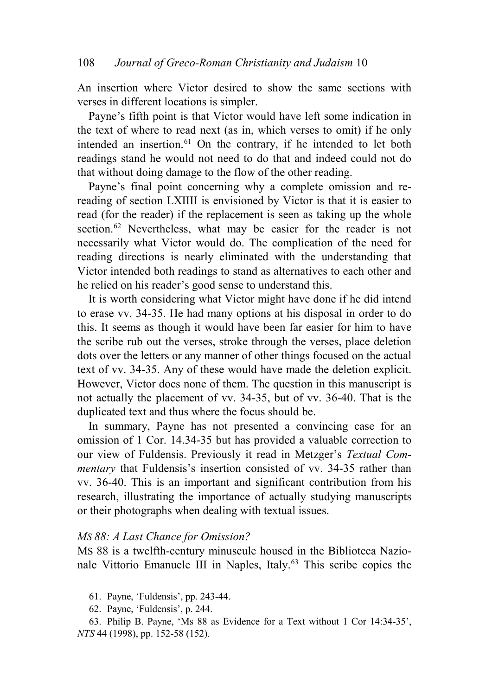An insertion where Victor desired to show the same sections with verses in different locations is simpler.

Payne's fifth point is that Victor would have left some indication in the text of where to read next (as in, which verses to omit) if he only intended an insertion.<sup>[61](#page-18-0)</sup> On the contrary, if he intended to let both readings stand he would not need to do that and indeed could not do that without doing damage to the flow of the other reading.

Payne's final point concerning why a complete omission and rereading of section LXIIII is envisioned by Victor is that it is easier to read (for the reader) if the replacement is seen as taking up the whole section.<sup>[62](#page-18-1)</sup> Nevertheless, what may be easier for the reader is not necessarily what Victor would do. The complication of the need for reading directions is nearly eliminated with the understanding that Victor intended both readings to stand as alternatives to each other and he relied on his reader's good sense to understand this.

It is worth considering what Victor might have done if he did intend to erase vv. 34-35. He had many options at his disposal in order to do this. It seems as though it would have been far easier for him to have the scribe rub out the verses, stroke through the verses, place deletion dots over the letters or any manner of other things focused on the actual text of vv. 34-35. Any of these would have made the deletion explicit. However, Victor does none of them. The question in this manuscript is not actually the placement of vv. 34-35, but of vv. 36-40. That is the duplicated text and thus where the focus should be.

In summary, Payne has not presented a convincing case for an omission of 1 Cor. 14.34-35 but has provided a valuable correction to our view of Fuldensis. Previously it read in Metzger's *Textual Commentary* that Fuldensis's insertion consisted of vv. 34-35 rather than vv. 36-40. This is an important and significant contribution from his research, illustrating the importance of actually studying manuscripts or their photographs when dealing with textual issues.

### *MS 88: A Last Chance for Omission?*

MS 88 is a twelfth-century minuscule housed in the Biblioteca Nazio-nale Vittorio Emanuele III in Naples, Italy.<sup>[63](#page-18-2)</sup> This scribe copies the

- 61. Payne, 'Fuldensis', pp. 243-44.
- 62. Payne, 'Fuldensis', p. 244.

<span id="page-18-2"></span><span id="page-18-1"></span><span id="page-18-0"></span><sup>63.</sup> Philip B. Payne, 'Ms 88 as Evidence for a Text without 1 Cor 14:34-35', *NTS* 44 (1998), pp. 152-58 (152).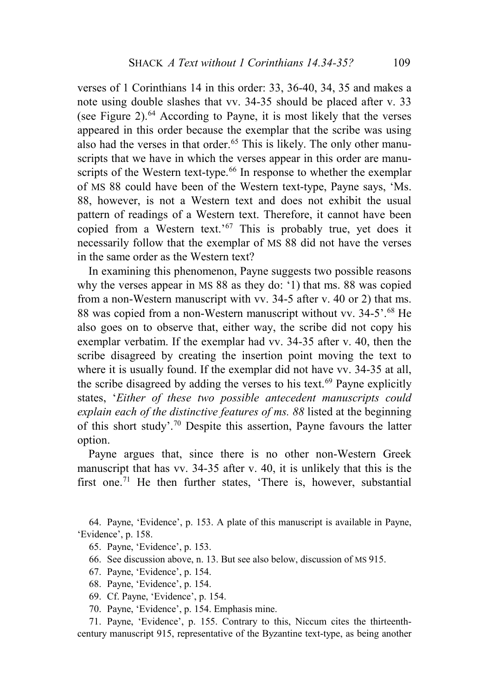verses of 1 Corinthians 14 in this order: 33, 36-40, 34, 35 and makes a note using double slashes that vv. 34-35 should be placed after v. 33 (see Figure 2). [64](#page-19-0) According to Payne, it is most likely that the verses appeared in this order because the exemplar that the scribe was using also had the verses in that order.<sup>[65](#page-19-1)</sup> This is likely. The only other manuscripts that we have in which the verses appear in this order are manu-scripts of the Western text-type.<sup>[66](#page-19-2)</sup> In response to whether the exemplar of MS 88 could have been of the Western text-type, Payne says, 'Ms. 88, however, is not a Western text and does not exhibit the usual pattern of readings of a Western text. Therefore, it cannot have been copied from a Western text.'[67](#page-19-3) This is probably true, yet does it necessarily follow that the exemplar of MS 88 did not have the verses in the same order as the Western text?

In examining this phenomenon, Payne suggests two possible reasons why the verses appear in MS 88 as they do: '1) that ms. 88 was copied from a non-Western manuscript with vv. 34-5 after v. 40 or 2) that ms. 88 was copied from a non-Western manuscript without vv. 34-5'.[68](#page-19-4) He also goes on to observe that, either way, the scribe did not copy his exemplar verbatim. If the exemplar had vv. 34-35 after v. 40, then the scribe disagreed by creating the insertion point moving the text to where it is usually found. If the exemplar did not have vv. 34-35 at all, the scribe disagreed by adding the verses to his text.<sup>[69](#page-19-5)</sup> Payne explicitly states, '*Either of these two possible antecedent manuscripts could explain each of the distinctive features of ms. 88* listed at the beginning of this short study'.[70](#page-19-6) Despite this assertion, Payne favours the latter option.

Payne argues that, since there is no other non-Western Greek manuscript that has vv. 34-35 after v. 40, it is unlikely that this is the first one.<sup>[71](#page-19-7)</sup> He then further states, 'There is, however, substantial

<span id="page-19-2"></span><span id="page-19-1"></span><span id="page-19-0"></span>64. Payne, 'Evidence', p. 153. A plate of this manuscript is available in Payne, 'Evidence', p. 158.

- 65. Payne, 'Evidence', p. 153.
- 66. See discussion above, n. 13. But see also below, discussion of MS 915.
- <span id="page-19-3"></span>67. Payne, 'Evidence', p. 154.
- 68. Payne, 'Evidence', p. 154.
- 69. Cf. Payne, 'Evidence', p. 154.
- 70. Payne, 'Evidence', p. 154. Emphasis mine.

<span id="page-19-7"></span><span id="page-19-6"></span><span id="page-19-5"></span><span id="page-19-4"></span>71. Payne, 'Evidence', p. 155. Contrary to this, Niccum cites the thirteenthcentury manuscript 915, representative of the Byzantine text-type, as being another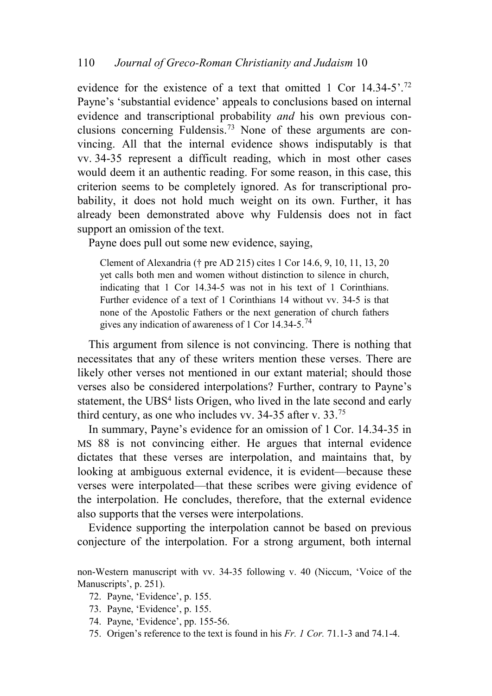evidence for the existence of a text that omitted 1 Cor  $14.34-5$ <sup>[72](#page-20-0)</sup> Payne's 'substantial evidence' appeals to conclusions based on internal evidence and transcriptional probability *and* his own previous conclusions concerning Fuldensis.[73](#page-20-1) None of these arguments are convincing. All that the internal evidence shows indisputably is that vv. 34-35 represent a difficult reading, which in most other cases would deem it an authentic reading. For some reason, in this case, this criterion seems to be completely ignored. As for transcriptional probability, it does not hold much weight on its own. Further, it has already been demonstrated above why Fuldensis does not in fact support an omission of the text.

Payne does pull out some new evidence, saying,

Clement of Alexandria († pre AD 215) cites 1 Cor 14.6, 9, 10, 11, 13, 20 yet calls both men and women without distinction to silence in church, indicating that 1 Cor 14.34-5 was not in his text of 1 Corinthians. Further evidence of a text of 1 Corinthians 14 without vv. 34-5 is that none of the Apostolic Fathers or the next generation of church fathers gives any indication of awareness of 1 Cor 14.34-5.<sup>[74](#page-20-2)</sup>

This argument from silence is not convincing. There is nothing that necessitates that any of these writers mention these verses. There are likely other verses not mentioned in our extant material; should those verses also be considered interpolations? Further, contrary to Payne's statement, the UBS<sup>4</sup> lists Origen, who lived in the late second and early third century, as one who includes vv. 34-35 after v. 33.[75](#page-20-3)

In summary, Payne's evidence for an omission of 1 Cor. 14.34-35 in MS 88 is not convincing either. He argues that internal evidence dictates that these verses are interpolation, and maintains that, by looking at ambiguous external evidence, it is evident—because these verses were interpolated—that these scribes were giving evidence of the interpolation. He concludes, therefore, that the external evidence also supports that the verses were interpolations.

Evidence supporting the interpolation cannot be based on previous conjecture of the interpolation. For a strong argument, both internal

<span id="page-20-1"></span><span id="page-20-0"></span>non-Western manuscript with vv. 34-35 following v. 40 (Niccum, 'Voice of the Manuscripts', p. 251).

- 72. Payne, 'Evidence', p. 155.
- 73. Payne, 'Evidence', p. 155.
- <span id="page-20-2"></span>74. Payne, 'Evidence', pp. 155-56.
- <span id="page-20-3"></span>75. Origen's reference to the text is found in his *Fr. 1 Cor.* 71.1-3 and 74.1-4.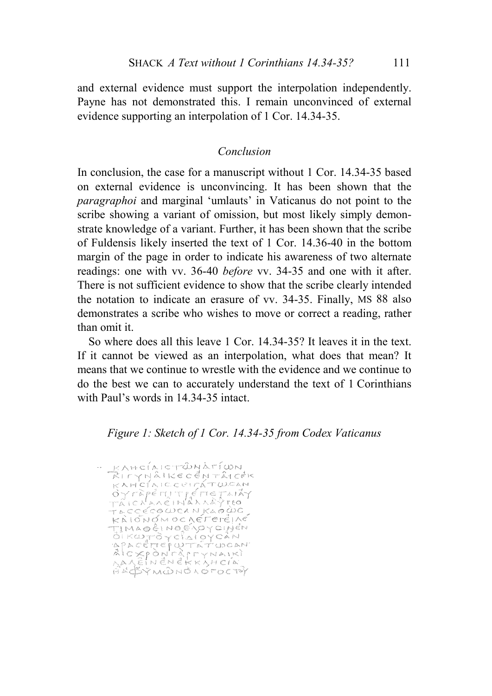and external evidence must support the interpolation independently. Payne has not demonstrated this. I remain unconvinced of external evidence supporting an interpolation of 1 Cor. 14.34-35.

## *Conclusion*

In conclusion, the case for a manuscript without 1 Cor. 14.34-35 based on external evidence is unconvincing. It has been shown that the *paragraphoi* and marginal 'umlauts' in Vaticanus do not point to the scribe showing a variant of omission, but most likely simply demonstrate knowledge of a variant. Further, it has been shown that the scribe of Fuldensis likely inserted the text of 1 Cor. 14.36-40 in the bottom margin of the page in order to indicate his awareness of two alternate readings: one with vv. 36-40 *before* vv. 34-35 and one with it after. There is not sufficient evidence to show that the scribe clearly intended the notation to indicate an erasure of vv. 34-35. Finally, MS 88 also demonstrates a scribe who wishes to move or correct a reading, rather than omit it.

So where does all this leave 1 Cor. 14.34-35? It leaves it in the text. If it cannot be viewed as an interpolation, what does that mean? It means that we continue to wrestle with the evidence and we continue to do the best we can to accurately understand the text of 1 Corinthians with Paul's words in 14.34-35 intact.

## *Figure 1: Sketch of 1 Cor. 14.34-35 from Codex Vaticanus*

KAHCÍAICTÓNÁTÍWN<br>RITYNÁIKECENTÁICEK  $K$ AHC $(A)$ CCCITÁTWCAN ÖYrEpérUTIÉNETAIÁY TAICNAREINANAAYTEO TACCÉCOUCANKAOÙC TACCECOWCANKAOWC<br>TIMAOÈINOENOYCINEN<br>TIMAOÈINOENOYCINEN<br>OIKWTOYCIAIOYCAN<br>OIKWTOYCIAIOYCAN<br>ACCETEPWTATWOAN<br>ACCETEPWTATTWOAN<br>ACCENENERKYHCIA